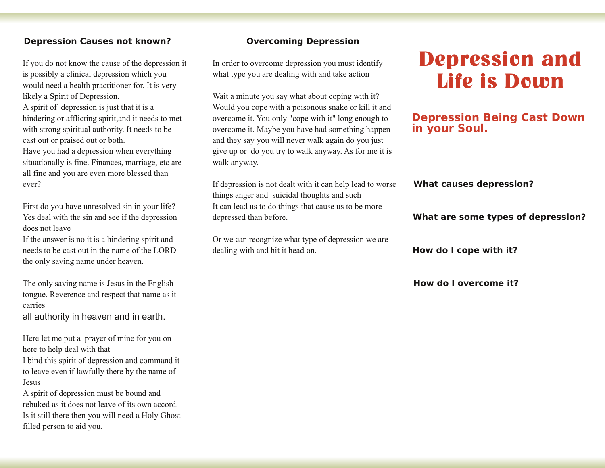# **Depression Causes not known?**

If you do not know the cause of the depression it is possibly a clinical depression which you would need a health practitioner for. It is very likely a Spirit of Depression. A spirit of depression is just that it is a hindering or afflicting spirit,and it needs to met with strong spiritual authority. It needs to be cast out or praised out or both. Have you had a depression when everything situationally is fine. Finances, marriage, etc are all fine and you are even more blessed than ever?

First do you have unresolved sin in your life? Yes deal with the sin and see if the depression does not leave

If the answer is no it is a hindering spirit and needs to be cast out in the name of the LORD the only saving name under heaven.

The only saving name is Jesus in the English tongue. Reverence and respect that name as it carries

all authority in heaven and in earth.

Here let me put a prayer of mine for you on here to help deal with that

I bind this spirit of depression and command it to leave even if lawfully there by the name of Jesus

A spirit of depression must be bound and rebuked as it does not leave of its own accord. Is it still there then you will need a Holy Ghost filled person to aid you.

### **Overcoming Depression**

In order to overcome depression you must identify what type you are dealing with and take action

Wait a minute you say what about coping with it? Would you cope with a poisonous snake or kill it and overcome it. You only "cope with it" long enough to overcome it. Maybe you have had something happen and they say you will never walk again do you just give up or do you try to walk anyway. As for me it is walk anyway.

If depression is not dealt with it can help lead to worse things anger and suicidal thoughts and such It can lead us to do things that cause us to be more depressed than before.

Or we can recognize what type of depression we are dealing with and hit it head on.

# **Depression and Life is Down**

# **Depression Being Cast Down in your Soul.**

#### **What causes depression?**

### **What are some types of depression?**

**How do I cope with it?**

**How do I overcome it?**